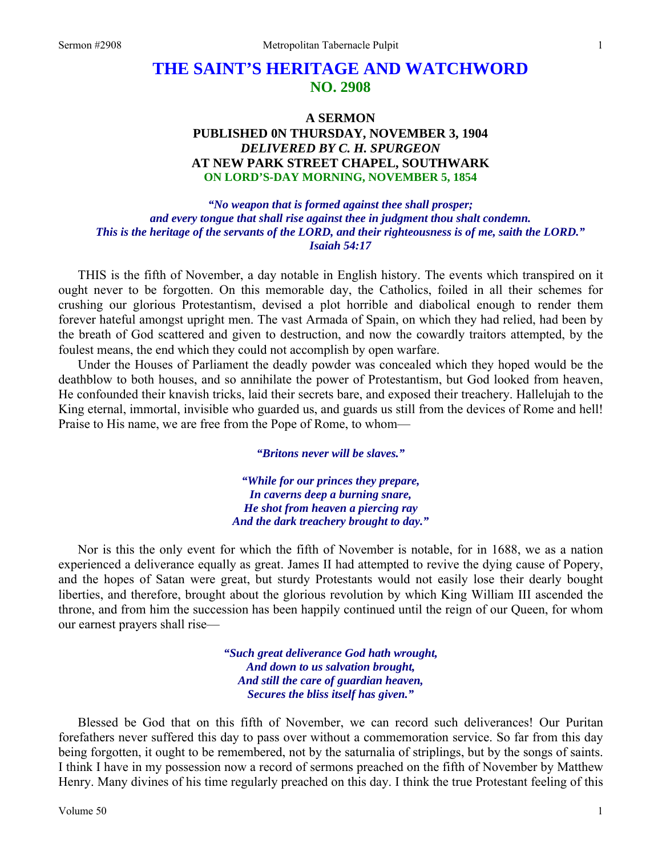# **THE SAINT'S HERITAGE AND WATCHWORD NO. 2908**

## **A SERMON PUBLISHED 0N THURSDAY, NOVEMBER 3, 1904**  *DELIVERED BY C. H. SPURGEON*  **AT NEW PARK STREET CHAPEL, SOUTHWARK ON LORD'S-DAY MORNING, NOVEMBER 5, 1854**

*"No weapon that is formed against thee shall prosper; and every tongue that shall rise against thee in judgment thou shalt condemn. This is the heritage of the servants of the LORD, and their righteousness is of me, saith the LORD." Isaiah 54:17* 

THIS is the fifth of November, a day notable in English history. The events which transpired on it ought never to be forgotten. On this memorable day, the Catholics, foiled in all their schemes for crushing our glorious Protestantism, devised a plot horrible and diabolical enough to render them forever hateful amongst upright men. The vast Armada of Spain, on which they had relied, had been by the breath of God scattered and given to destruction, and now the cowardly traitors attempted, by the foulest means, the end which they could not accomplish by open warfare.

Under the Houses of Parliament the deadly powder was concealed which they hoped would be the deathblow to both houses, and so annihilate the power of Protestantism, but God looked from heaven, He confounded their knavish tricks, laid their secrets bare, and exposed their treachery. Hallelujah to the King eternal, immortal, invisible who guarded us, and guards us still from the devices of Rome and hell! Praise to His name, we are free from the Pope of Rome, to whom—

*"Britons never will be slaves."* 

*"While for our princes they prepare, In caverns deep a burning snare, He shot from heaven a piercing ray And the dark treachery brought to day."* 

Nor is this the only event for which the fifth of November is notable, for in 1688, we as a nation experienced a deliverance equally as great. James II had attempted to revive the dying cause of Popery, and the hopes of Satan were great, but sturdy Protestants would not easily lose their dearly bought liberties, and therefore, brought about the glorious revolution by which King William III ascended the throne, and from him the succession has been happily continued until the reign of our Queen, for whom our earnest prayers shall rise—

> *"Such great deliverance God hath wrought, And down to us salvation brought, And still the care of guardian heaven, Secures the bliss itself has given."*

Blessed be God that on this fifth of November, we can record such deliverances! Our Puritan forefathers never suffered this day to pass over without a commemoration service. So far from this day being forgotten, it ought to be remembered, not by the saturnalia of striplings, but by the songs of saints. I think I have in my possession now a record of sermons preached on the fifth of November by Matthew Henry. Many divines of his time regularly preached on this day. I think the true Protestant feeling of this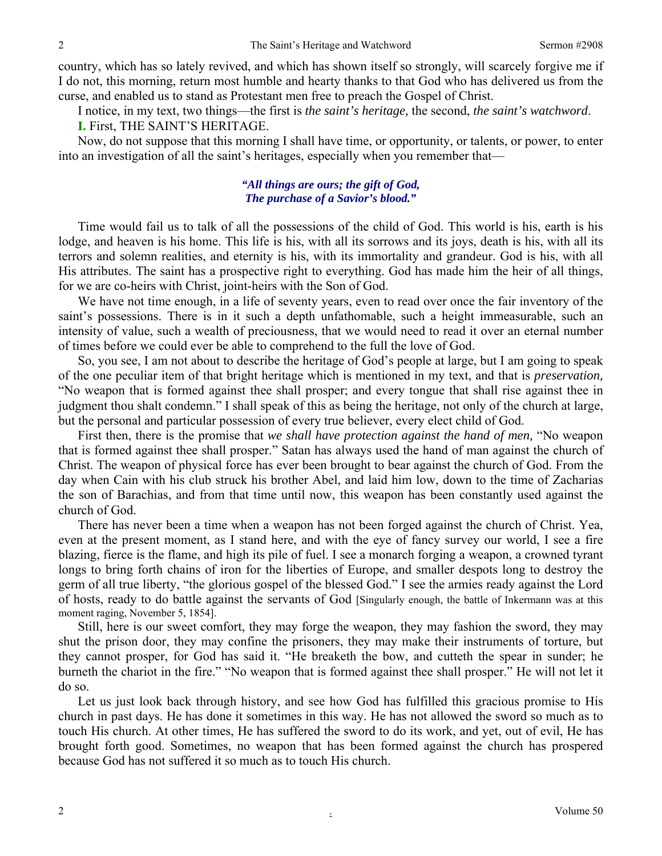country, which has so lately revived, and which has shown itself so strongly, will scarcely forgive me if I do not, this morning, return most humble and hearty thanks to that God who has delivered us from the curse, and enabled us to stand as Protestant men free to preach the Gospel of Christ.

I notice, in my text, two things—the first is *the saint's heritage,* the second, *the saint's watchword*.

**I.** First, THE SAINT'S HERITAGE.

Now, do not suppose that this morning I shall have time, or opportunity, or talents, or power, to enter into an investigation of all the saint's heritages, especially when you remember that—

#### *"All things are ours; the gift of God, The purchase of a Savior's blood."*

Time would fail us to talk of all the possessions of the child of God. This world is his, earth is his lodge, and heaven is his home. This life is his, with all its sorrows and its joys, death is his, with all its terrors and solemn realities, and eternity is his, with its immortality and grandeur. God is his, with all His attributes. The saint has a prospective right to everything. God has made him the heir of all things, for we are co-heirs with Christ, joint-heirs with the Son of God.

We have not time enough, in a life of seventy years, even to read over once the fair inventory of the saint's possessions. There is in it such a depth unfathomable, such a height immeasurable, such an intensity of value, such a wealth of preciousness, that we would need to read it over an eternal number of times before we could ever be able to comprehend to the full the love of God.

So, you see, I am not about to describe the heritage of God's people at large, but I am going to speak of the one peculiar item of that bright heritage which is mentioned in my text, and that is *preservation,* "No weapon that is formed against thee shall prosper; and every tongue that shall rise against thee in judgment thou shalt condemn." I shall speak of this as being the heritage, not only of the church at large, but the personal and particular possession of every true believer, every elect child of God.

First then, there is the promise that *we shall have protection against the hand of men,* "No weapon that is formed against thee shall prosper." Satan has always used the hand of man against the church of Christ. The weapon of physical force has ever been brought to bear against the church of God. From the day when Cain with his club struck his brother Abel, and laid him low, down to the time of Zacharias the son of Barachias, and from that time until now, this weapon has been constantly used against the church of God.

There has never been a time when a weapon has not been forged against the church of Christ. Yea, even at the present moment, as I stand here, and with the eye of fancy survey our world, I see a fire blazing, fierce is the flame, and high its pile of fuel. I see a monarch forging a weapon, a crowned tyrant longs to bring forth chains of iron for the liberties of Europe, and smaller despots long to destroy the germ of all true liberty, "the glorious gospel of the blessed God." I see the armies ready against the Lord of hosts, ready to do battle against the servants of God [Singularly enough, the battle of Inkermann was at this moment raging, November 5, 1854].

Still, here is our sweet comfort, they may forge the weapon, they may fashion the sword, they may shut the prison door, they may confine the prisoners, they may make their instruments of torture, but they cannot prosper, for God has said it. "He breaketh the bow, and cutteth the spear in sunder; he burneth the chariot in the fire." "No weapon that is formed against thee shall prosper." He will not let it do so.

Let us just look back through history, and see how God has fulfilled this gracious promise to His church in past days. He has done it sometimes in this way. He has not allowed the sword so much as to touch His church. At other times, He has suffered the sword to do its work, and yet, out of evil, He has brought forth good. Sometimes, no weapon that has been formed against the church has prospered because God has not suffered it so much as to touch His church.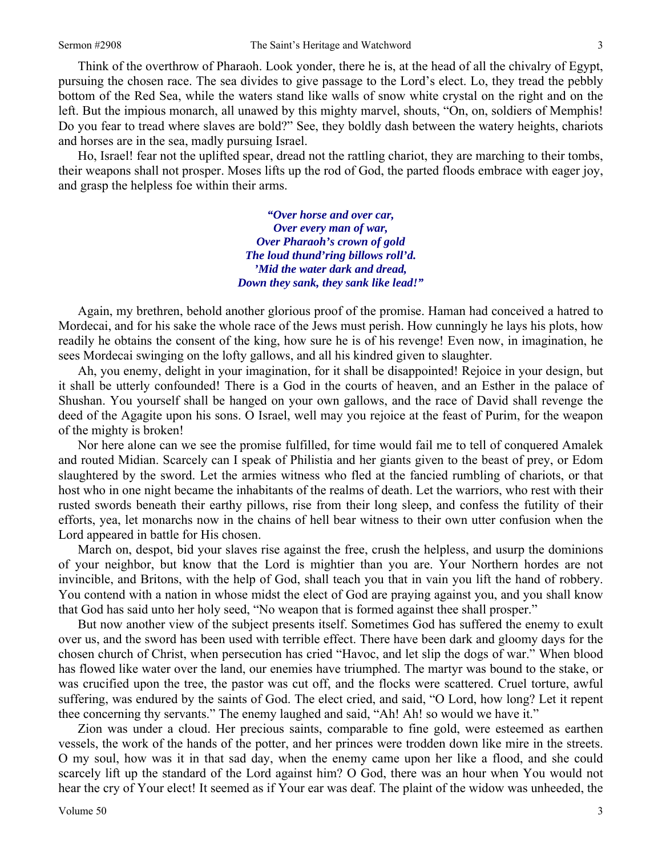Think of the overthrow of Pharaoh. Look yonder, there he is, at the head of all the chivalry of Egypt, pursuing the chosen race. The sea divides to give passage to the Lord's elect. Lo, they tread the pebbly bottom of the Red Sea, while the waters stand like walls of snow white crystal on the right and on the left. But the impious monarch, all unawed by this mighty marvel, shouts, "On, on, soldiers of Memphis! Do you fear to tread where slaves are bold?" See, they boldly dash between the watery heights, chariots and horses are in the sea, madly pursuing Israel.

Ho, Israel! fear not the uplifted spear, dread not the rattling chariot, they are marching to their tombs, their weapons shall not prosper. Moses lifts up the rod of God, the parted floods embrace with eager joy, and grasp the helpless foe within their arms.

> *"Over horse and over car, Over every man of war, Over Pharaoh's crown of gold The loud thund'ring billows roll'd. 'Mid the water dark and dread, Down they sank, they sank like lead!"*

Again, my brethren, behold another glorious proof of the promise. Haman had conceived a hatred to Mordecai, and for his sake the whole race of the Jews must perish. How cunningly he lays his plots, how readily he obtains the consent of the king, how sure he is of his revenge! Even now, in imagination, he sees Mordecai swinging on the lofty gallows, and all his kindred given to slaughter.

Ah, you enemy, delight in your imagination, for it shall be disappointed! Rejoice in your design, but it shall be utterly confounded! There is a God in the courts of heaven, and an Esther in the palace of Shushan. You yourself shall be hanged on your own gallows, and the race of David shall revenge the deed of the Agagite upon his sons. O Israel, well may you rejoice at the feast of Purim, for the weapon of the mighty is broken!

Nor here alone can we see the promise fulfilled, for time would fail me to tell of conquered Amalek and routed Midian. Scarcely can I speak of Philistia and her giants given to the beast of prey, or Edom slaughtered by the sword. Let the armies witness who fled at the fancied rumbling of chariots, or that host who in one night became the inhabitants of the realms of death. Let the warriors, who rest with their rusted swords beneath their earthy pillows, rise from their long sleep, and confess the futility of their efforts, yea, let monarchs now in the chains of hell bear witness to their own utter confusion when the Lord appeared in battle for His chosen.

March on, despot, bid your slaves rise against the free, crush the helpless, and usurp the dominions of your neighbor, but know that the Lord is mightier than you are. Your Northern hordes are not invincible, and Britons, with the help of God, shall teach you that in vain you lift the hand of robbery. You contend with a nation in whose midst the elect of God are praying against you, and you shall know that God has said unto her holy seed, "No weapon that is formed against thee shall prosper."

But now another view of the subject presents itself. Sometimes God has suffered the enemy to exult over us, and the sword has been used with terrible effect. There have been dark and gloomy days for the chosen church of Christ, when persecution has cried "Havoc, and let slip the dogs of war." When blood has flowed like water over the land, our enemies have triumphed. The martyr was bound to the stake, or was crucified upon the tree, the pastor was cut off, and the flocks were scattered. Cruel torture, awful suffering, was endured by the saints of God. The elect cried, and said, "O Lord, how long? Let it repent thee concerning thy servants." The enemy laughed and said, "Ah! Ah! so would we have it."

Zion was under a cloud. Her precious saints, comparable to fine gold, were esteemed as earthen vessels, the work of the hands of the potter, and her princes were trodden down like mire in the streets. O my soul, how was it in that sad day, when the enemy came upon her like a flood, and she could scarcely lift up the standard of the Lord against him? O God, there was an hour when You would not hear the cry of Your elect! It seemed as if Your ear was deaf. The plaint of the widow was unheeded, the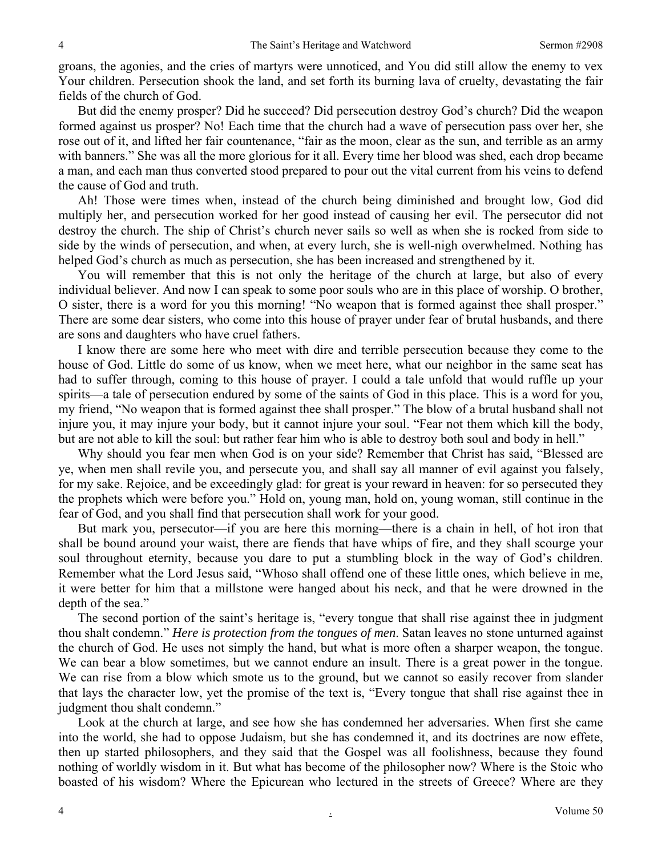groans, the agonies, and the cries of martyrs were unnoticed, and You did still allow the enemy to vex Your children. Persecution shook the land, and set forth its burning lava of cruelty, devastating the fair fields of the church of God.

But did the enemy prosper? Did he succeed? Did persecution destroy God's church? Did the weapon formed against us prosper? No! Each time that the church had a wave of persecution pass over her, she rose out of it, and lifted her fair countenance, "fair as the moon, clear as the sun, and terrible as an army with banners." She was all the more glorious for it all. Every time her blood was shed, each drop became a man, and each man thus converted stood prepared to pour out the vital current from his veins to defend the cause of God and truth.

Ah! Those were times when, instead of the church being diminished and brought low, God did multiply her, and persecution worked for her good instead of causing her evil. The persecutor did not destroy the church. The ship of Christ's church never sails so well as when she is rocked from side to side by the winds of persecution, and when, at every lurch, she is well-nigh overwhelmed. Nothing has helped God's church as much as persecution, she has been increased and strengthened by it.

You will remember that this is not only the heritage of the church at large, but also of every individual believer. And now I can speak to some poor souls who are in this place of worship. O brother, O sister, there is a word for you this morning! "No weapon that is formed against thee shall prosper." There are some dear sisters, who come into this house of prayer under fear of brutal husbands, and there are sons and daughters who have cruel fathers.

I know there are some here who meet with dire and terrible persecution because they come to the house of God. Little do some of us know, when we meet here, what our neighbor in the same seat has had to suffer through, coming to this house of prayer. I could a tale unfold that would ruffle up your spirits—a tale of persecution endured by some of the saints of God in this place. This is a word for you, my friend, "No weapon that is formed against thee shall prosper." The blow of a brutal husband shall not injure you, it may injure your body, but it cannot injure your soul. "Fear not them which kill the body, but are not able to kill the soul: but rather fear him who is able to destroy both soul and body in hell."

Why should you fear men when God is on your side? Remember that Christ has said, "Blessed are ye, when men shall revile you, and persecute you, and shall say all manner of evil against you falsely, for my sake. Rejoice, and be exceedingly glad: for great is your reward in heaven: for so persecuted they the prophets which were before you." Hold on, young man, hold on, young woman, still continue in the fear of God, and you shall find that persecution shall work for your good.

But mark you, persecutor—if you are here this morning—there is a chain in hell, of hot iron that shall be bound around your waist, there are fiends that have whips of fire, and they shall scourge your soul throughout eternity, because you dare to put a stumbling block in the way of God's children. Remember what the Lord Jesus said, "Whoso shall offend one of these little ones, which believe in me, it were better for him that a millstone were hanged about his neck, and that he were drowned in the depth of the sea."

The second portion of the saint's heritage is, "every tongue that shall rise against thee in judgment thou shalt condemn." *Here is protection from the tongues of men*. Satan leaves no stone unturned against the church of God. He uses not simply the hand, but what is more often a sharper weapon, the tongue. We can bear a blow sometimes, but we cannot endure an insult. There is a great power in the tongue. We can rise from a blow which smote us to the ground, but we cannot so easily recover from slander that lays the character low, yet the promise of the text is, "Every tongue that shall rise against thee in judgment thou shalt condemn."

Look at the church at large, and see how she has condemned her adversaries. When first she came into the world, she had to oppose Judaism, but she has condemned it, and its doctrines are now effete, then up started philosophers, and they said that the Gospel was all foolishness, because they found nothing of worldly wisdom in it. But what has become of the philosopher now? Where is the Stoic who boasted of his wisdom? Where the Epicurean who lectured in the streets of Greece? Where are they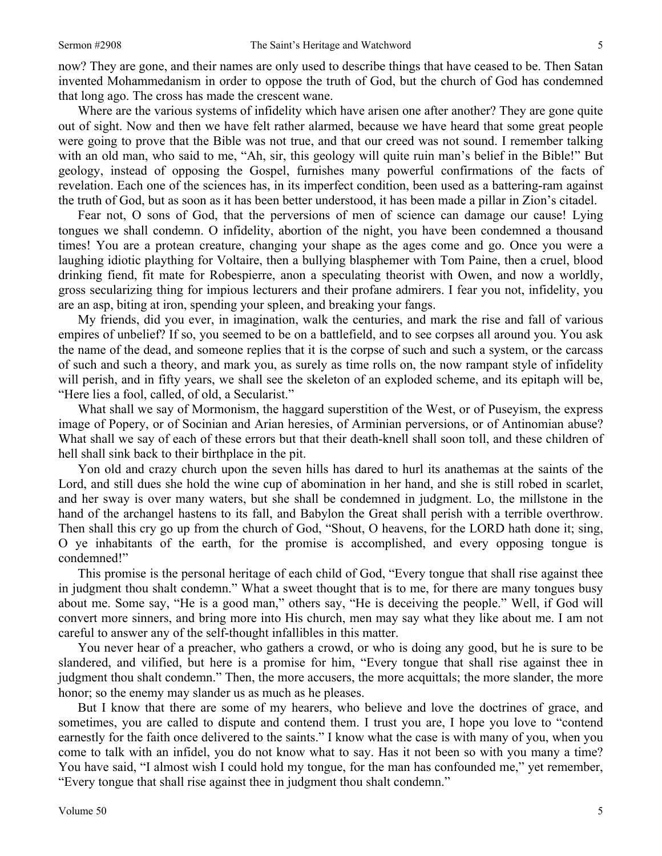now? They are gone, and their names are only used to describe things that have ceased to be. Then Satan invented Mohammedanism in order to oppose the truth of God, but the church of God has condemned that long ago. The cross has made the crescent wane.

Where are the various systems of infidelity which have arisen one after another? They are gone quite out of sight. Now and then we have felt rather alarmed, because we have heard that some great people were going to prove that the Bible was not true, and that our creed was not sound. I remember talking with an old man, who said to me, "Ah, sir, this geology will quite ruin man's belief in the Bible!" But geology, instead of opposing the Gospel, furnishes many powerful confirmations of the facts of revelation. Each one of the sciences has, in its imperfect condition, been used as a battering-ram against the truth of God, but as soon as it has been better understood, it has been made a pillar in Zion's citadel.

Fear not, O sons of God, that the perversions of men of science can damage our cause! Lying tongues we shall condemn. O infidelity, abortion of the night, you have been condemned a thousand times! You are a protean creature, changing your shape as the ages come and go. Once you were a laughing idiotic plaything for Voltaire, then a bullying blasphemer with Tom Paine, then a cruel, blood drinking fiend, fit mate for Robespierre, anon a speculating theorist with Owen, and now a worldly, gross secularizing thing for impious lecturers and their profane admirers. I fear you not, infidelity, you are an asp, biting at iron, spending your spleen, and breaking your fangs.

My friends, did you ever, in imagination, walk the centuries, and mark the rise and fall of various empires of unbelief? If so, you seemed to be on a battlefield, and to see corpses all around you. You ask the name of the dead, and someone replies that it is the corpse of such and such a system, or the carcass of such and such a theory, and mark you, as surely as time rolls on, the now rampant style of infidelity will perish, and in fifty years, we shall see the skeleton of an exploded scheme, and its epitaph will be, "Here lies a fool, called, of old, a Secularist."

What shall we say of Mormonism, the haggard superstition of the West, or of Puseyism, the express image of Popery, or of Socinian and Arian heresies, of Arminian perversions, or of Antinomian abuse? What shall we say of each of these errors but that their death-knell shall soon toll, and these children of hell shall sink back to their birthplace in the pit.

Yon old and crazy church upon the seven hills has dared to hurl its anathemas at the saints of the Lord, and still dues she hold the wine cup of abomination in her hand, and she is still robed in scarlet, and her sway is over many waters, but she shall be condemned in judgment. Lo, the millstone in the hand of the archangel hastens to its fall, and Babylon the Great shall perish with a terrible overthrow. Then shall this cry go up from the church of God, "Shout, O heavens, for the LORD hath done it; sing, O ye inhabitants of the earth, for the promise is accomplished, and every opposing tongue is condemned!"

This promise is the personal heritage of each child of God, "Every tongue that shall rise against thee in judgment thou shalt condemn." What a sweet thought that is to me, for there are many tongues busy about me. Some say, "He is a good man," others say, "He is deceiving the people." Well, if God will convert more sinners, and bring more into His church, men may say what they like about me. I am not careful to answer any of the self-thought infallibles in this matter.

You never hear of a preacher, who gathers a crowd, or who is doing any good, but he is sure to be slandered, and vilified, but here is a promise for him, "Every tongue that shall rise against thee in judgment thou shalt condemn." Then, the more accusers, the more acquittals; the more slander, the more honor; so the enemy may slander us as much as he pleases.

But I know that there are some of my hearers, who believe and love the doctrines of grace, and sometimes, you are called to dispute and contend them. I trust you are, I hope you love to "contend earnestly for the faith once delivered to the saints." I know what the case is with many of you, when you come to talk with an infidel, you do not know what to say. Has it not been so with you many a time? You have said, "I almost wish I could hold my tongue, for the man has confounded me," yet remember, "Every tongue that shall rise against thee in judgment thou shalt condemn."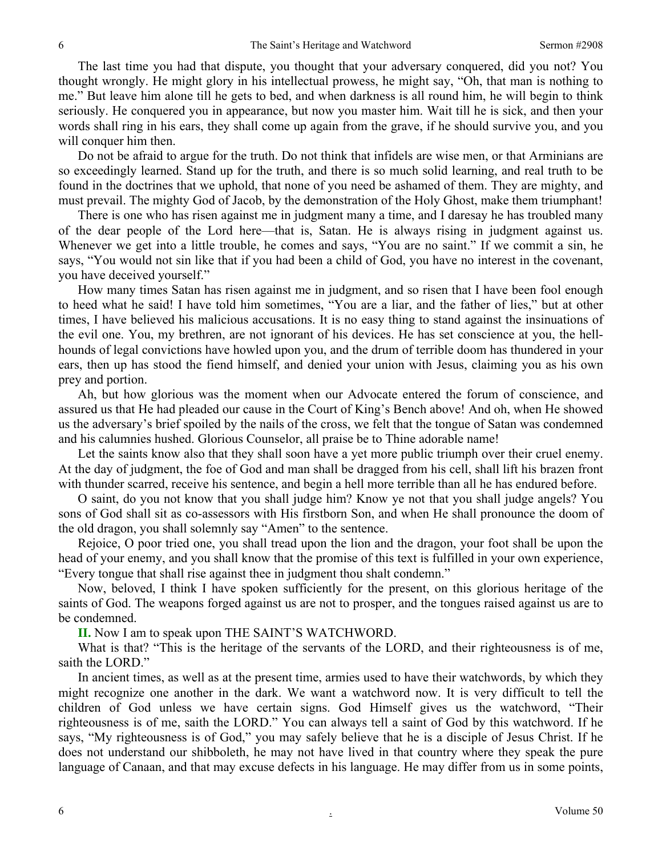The last time you had that dispute, you thought that your adversary conquered, did you not? You thought wrongly. He might glory in his intellectual prowess, he might say, "Oh, that man is nothing to me." But leave him alone till he gets to bed, and when darkness is all round him, he will begin to think seriously. He conquered you in appearance, but now you master him. Wait till he is sick, and then your words shall ring in his ears, they shall come up again from the grave, if he should survive you, and you will conquer him then.

Do not be afraid to argue for the truth. Do not think that infidels are wise men, or that Arminians are so exceedingly learned. Stand up for the truth, and there is so much solid learning, and real truth to be found in the doctrines that we uphold, that none of you need be ashamed of them. They are mighty, and must prevail. The mighty God of Jacob, by the demonstration of the Holy Ghost, make them triumphant!

There is one who has risen against me in judgment many a time, and I daresay he has troubled many of the dear people of the Lord here—that is, Satan. He is always rising in judgment against us. Whenever we get into a little trouble, he comes and says, "You are no saint." If we commit a sin, he says, "You would not sin like that if you had been a child of God, you have no interest in the covenant, you have deceived yourself."

How many times Satan has risen against me in judgment, and so risen that I have been fool enough to heed what he said! I have told him sometimes, "You are a liar, and the father of lies," but at other times, I have believed his malicious accusations. It is no easy thing to stand against the insinuations of the evil one. You, my brethren, are not ignorant of his devices. He has set conscience at you, the hellhounds of legal convictions have howled upon you, and the drum of terrible doom has thundered in your ears, then up has stood the fiend himself, and denied your union with Jesus, claiming you as his own prey and portion.

Ah, but how glorious was the moment when our Advocate entered the forum of conscience, and assured us that He had pleaded our cause in the Court of King's Bench above! And oh, when He showed us the adversary's brief spoiled by the nails of the cross, we felt that the tongue of Satan was condemned and his calumnies hushed. Glorious Counselor, all praise be to Thine adorable name!

Let the saints know also that they shall soon have a yet more public triumph over their cruel enemy. At the day of judgment, the foe of God and man shall be dragged from his cell, shall lift his brazen front with thunder scarred, receive his sentence, and begin a hell more terrible than all he has endured before.

O saint, do you not know that you shall judge him? Know ye not that you shall judge angels? You sons of God shall sit as co-assessors with His firstborn Son, and when He shall pronounce the doom of the old dragon, you shall solemnly say "Amen" to the sentence.

Rejoice, O poor tried one, you shall tread upon the lion and the dragon, your foot shall be upon the head of your enemy, and you shall know that the promise of this text is fulfilled in your own experience, "Every tongue that shall rise against thee in judgment thou shalt condemn."

Now, beloved, I think I have spoken sufficiently for the present, on this glorious heritage of the saints of God. The weapons forged against us are not to prosper, and the tongues raised against us are to be condemned.

**II.** Now I am to speak upon THE SAINT'S WATCHWORD.

What is that? "This is the heritage of the servants of the LORD, and their righteousness is of me, saith the LORD."

In ancient times, as well as at the present time, armies used to have their watchwords, by which they might recognize one another in the dark. We want a watchword now. It is very difficult to tell the children of God unless we have certain signs. God Himself gives us the watchword, "Their righteousness is of me, saith the LORD." You can always tell a saint of God by this watchword. If he says, "My righteousness is of God," you may safely believe that he is a disciple of Jesus Christ. If he does not understand our shibboleth, he may not have lived in that country where they speak the pure language of Canaan, and that may excuse defects in his language. He may differ from us in some points,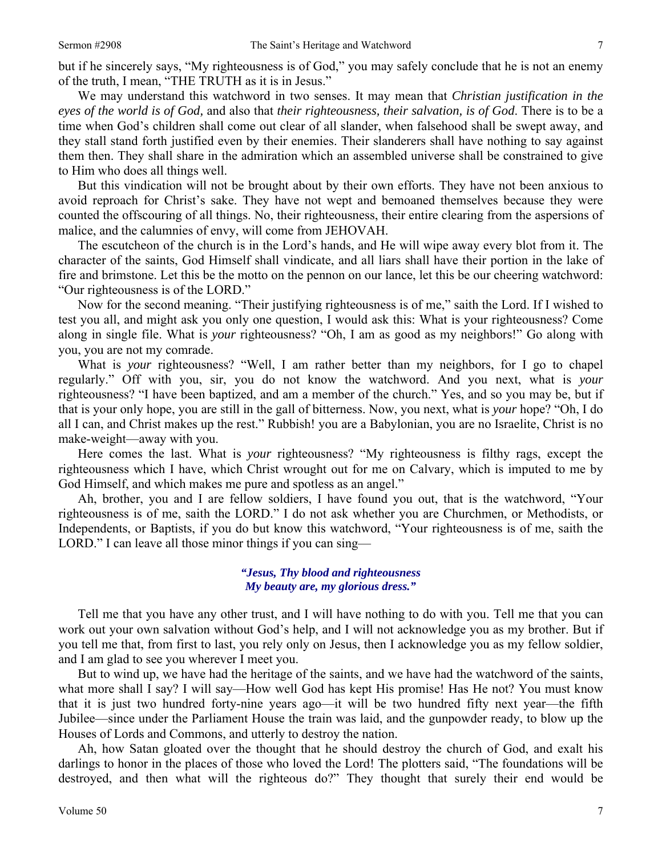but if he sincerely says, "My righteousness is of God," you may safely conclude that he is not an enemy of the truth, I mean, "THE TRUTH as it is in Jesus."

We may understand this watchword in two senses. It may mean that *Christian justification in the eyes of the world is of God,* and also that *their righteousness, their salvation, is of God*. There is to be a time when God's children shall come out clear of all slander, when falsehood shall be swept away, and they stall stand forth justified even by their enemies. Their slanderers shall have nothing to say against them then. They shall share in the admiration which an assembled universe shall be constrained to give to Him who does all things well.

But this vindication will not be brought about by their own efforts. They have not been anxious to avoid reproach for Christ's sake. They have not wept and bemoaned themselves because they were counted the offscouring of all things. No, their righteousness, their entire clearing from the aspersions of malice, and the calumnies of envy, will come from JEHOVAH.

The escutcheon of the church is in the Lord's hands, and He will wipe away every blot from it. The character of the saints, God Himself shall vindicate, and all liars shall have their portion in the lake of fire and brimstone. Let this be the motto on the pennon on our lance, let this be our cheering watchword: "Our righteousness is of the LORD."

Now for the second meaning. "Their justifying righteousness is of me," saith the Lord. If I wished to test you all, and might ask you only one question, I would ask this: What is your righteousness? Come along in single file. What is *your* righteousness? "Oh, I am as good as my neighbors!" Go along with you, you are not my comrade.

What is *your* righteousness? "Well, I am rather better than my neighbors, for I go to chapel regularly." Off with you, sir, you do not know the watchword. And you next, what is *your*  righteousness? "I have been baptized, and am a member of the church." Yes, and so you may be, but if that is your only hope, you are still in the gall of bitterness. Now, you next, what is *your* hope? "Oh, I do all I can, and Christ makes up the rest." Rubbish! you are a Babylonian, you are no Israelite, Christ is no make-weight—away with you.

Here comes the last. What is *your* righteousness? "My righteousness is filthy rags, except the righteousness which I have, which Christ wrought out for me on Calvary, which is imputed to me by God Himself, and which makes me pure and spotless as an angel."

Ah, brother, you and I are fellow soldiers, I have found you out, that is the watchword, "Your righteousness is of me, saith the LORD." I do not ask whether you are Churchmen, or Methodists, or Independents, or Baptists, if you do but know this watchword, "Your righteousness is of me, saith the LORD." I can leave all those minor things if you can sing—

### *"Jesus, Thy blood and righteousness My beauty are, my glorious dress."*

Tell me that you have any other trust, and I will have nothing to do with you. Tell me that you can work out your own salvation without God's help, and I will not acknowledge you as my brother. But if you tell me that, from first to last, you rely only on Jesus, then I acknowledge you as my fellow soldier, and I am glad to see you wherever I meet you.

But to wind up, we have had the heritage of the saints, and we have had the watchword of the saints, what more shall I say? I will say—How well God has kept His promise! Has He not? You must know that it is just two hundred forty-nine years ago—it will be two hundred fifty next year—the fifth Jubilee—since under the Parliament House the train was laid, and the gunpowder ready, to blow up the Houses of Lords and Commons, and utterly to destroy the nation.

Ah, how Satan gloated over the thought that he should destroy the church of God, and exalt his darlings to honor in the places of those who loved the Lord! The plotters said, "The foundations will be destroyed, and then what will the righteous do?" They thought that surely their end would be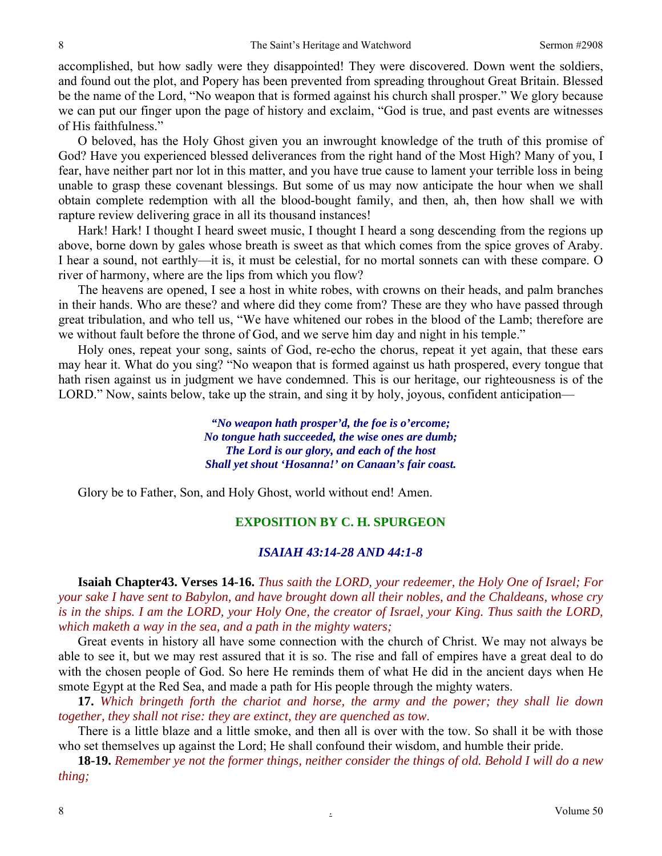accomplished, but how sadly were they disappointed! They were discovered. Down went the soldiers, and found out the plot, and Popery has been prevented from spreading throughout Great Britain. Blessed be the name of the Lord, "No weapon that is formed against his church shall prosper." We glory because we can put our finger upon the page of history and exclaim, "God is true, and past events are witnesses of His faithfulness."

O beloved, has the Holy Ghost given you an inwrought knowledge of the truth of this promise of God? Have you experienced blessed deliverances from the right hand of the Most High? Many of you, I fear, have neither part nor lot in this matter, and you have true cause to lament your terrible loss in being unable to grasp these covenant blessings. But some of us may now anticipate the hour when we shall obtain complete redemption with all the blood-bought family, and then, ah, then how shall we with rapture review delivering grace in all its thousand instances!

Hark! Hark! I thought I heard sweet music, I thought I heard a song descending from the regions up above, borne down by gales whose breath is sweet as that which comes from the spice groves of Araby. I hear a sound, not earthly—it is, it must be celestial, for no mortal sonnets can with these compare. O river of harmony, where are the lips from which you flow?

The heavens are opened, I see a host in white robes, with crowns on their heads, and palm branches in their hands. Who are these? and where did they come from? These are they who have passed through great tribulation, and who tell us, "We have whitened our robes in the blood of the Lamb; therefore are we without fault before the throne of God, and we serve him day and night in his temple."

Holy ones, repeat your song, saints of God, re-echo the chorus, repeat it yet again, that these ears may hear it. What do you sing? "No weapon that is formed against us hath prospered, every tongue that hath risen against us in judgment we have condemned. This is our heritage, our righteousness is of the LORD." Now, saints below, take up the strain, and sing it by holy, joyous, confident anticipation—

> *"No weapon hath prosper'd, the foe is o'ercome; No tongue hath succeeded, the wise ones are dumb; The Lord is our glory, and each of the host Shall yet shout 'Hosanna!' on Canaan's fair coast.*

Glory be to Father, Son, and Holy Ghost, world without end! Amen.

## **EXPOSITION BY C. H. SPURGEON**

### *ISAIAH 43:14-28 AND 44:1-8*

**Isaiah Chapter43. Verses 14-16.** *Thus saith the LORD, your redeemer, the Holy One of Israel; For your sake I have sent to Babylon, and have brought down all their nobles, and the Chaldeans, whose cry is in the ships. I am the LORD, your Holy One, the creator of Israel, your King. Thus saith the LORD, which maketh a way in the sea, and a path in the mighty waters;* 

Great events in history all have some connection with the church of Christ. We may not always be able to see it, but we may rest assured that it is so. The rise and fall of empires have a great deal to do with the chosen people of God. So here He reminds them of what He did in the ancient days when He smote Egypt at the Red Sea, and made a path for His people through the mighty waters.

**17.** *Which bringeth forth the chariot and horse, the army and the power; they shall lie down together, they shall not rise: they are extinct, they are quenched as tow*.

There is a little blaze and a little smoke, and then all is over with the tow. So shall it be with those who set themselves up against the Lord; He shall confound their wisdom, and humble their pride.

**18-19.** *Remember ye not the former things, neither consider the things of old. Behold I will do a new thing;*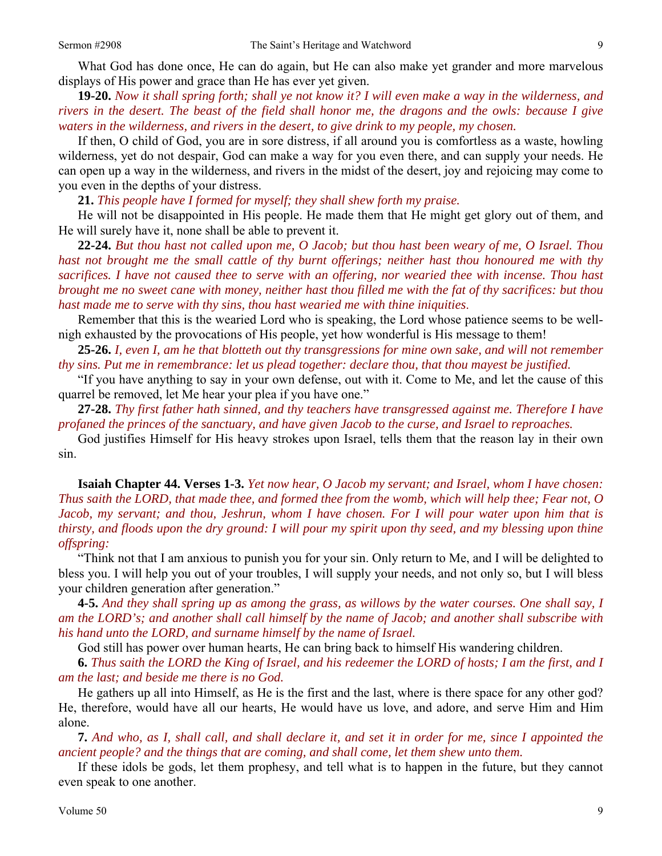What God has done once, He can do again, but He can also make yet grander and more marvelous displays of His power and grace than He has ever yet given.

**19-20.** *Now it shall spring forth; shall ye not know it? I will even make a way in the wilderness, and rivers in the desert. The beast of the field shall honor me, the dragons and the owls: because I give waters in the wilderness, and rivers in the desert, to give drink to my people, my chosen.* 

If then, O child of God, you are in sore distress, if all around you is comfortless as a waste, howling wilderness, yet do not despair, God can make a way for you even there, and can supply your needs. He can open up a way in the wilderness, and rivers in the midst of the desert, joy and rejoicing may come to you even in the depths of your distress.

**21.** *This people have I formed for myself; they shall shew forth my praise.* 

He will not be disappointed in His people. He made them that He might get glory out of them, and He will surely have it, none shall be able to prevent it.

**22-24.** *But thou hast not called upon me, O Jacob; but thou hast been weary of me, O Israel. Thou hast not brought me the small cattle of thy burnt offerings; neither hast thou honoured me with thy sacrifices. I have not caused thee to serve with an offering, nor wearied thee with incense. Thou hast brought me no sweet cane with money, neither hast thou filled me with the fat of thy sacrifices: but thou hast made me to serve with thy sins, thou hast wearied me with thine iniquities*.

Remember that this is the wearied Lord who is speaking, the Lord whose patience seems to be wellnigh exhausted by the provocations of His people, yet how wonderful is His message to them!

**25-26.** *I, even I, am he that blotteth out thy transgressions for mine own sake, and will not remember thy sins. Put me in remembrance: let us plead together: declare thou, that thou mayest be justified.* 

"If you have anything to say in your own defense, out with it. Come to Me, and let the cause of this quarrel be removed, let Me hear your plea if you have one."

**27-28.** *Thy first father hath sinned, and thy teachers have transgressed against me. Therefore I have profaned the princes of the sanctuary, and have given Jacob to the curse, and Israel to reproaches.* 

God justifies Himself for His heavy strokes upon Israel, tells them that the reason lay in their own sin.

**Isaiah Chapter 44. Verses 1-3.** *Yet now hear, O Jacob my servant; and Israel, whom I have chosen: Thus saith the LORD, that made thee, and formed thee from the womb, which will help thee; Fear not, O Jacob, my servant; and thou, Jeshrun, whom I have chosen. For I will pour water upon him that is thirsty, and floods upon the dry ground: I will pour my spirit upon thy seed, and my blessing upon thine offspring:* 

"Think not that I am anxious to punish you for your sin. Only return to Me, and I will be delighted to bless you. I will help you out of your troubles, I will supply your needs, and not only so, but I will bless your children generation after generation."

**4-5.** *And they shall spring up as among the grass, as willows by the water courses. One shall say, I am the LORD's; and another shall call himself by the name of Jacob; and another shall subscribe with his hand unto the LORD, and surname himself by the name of Israel.* 

God still has power over human hearts, He can bring back to himself His wandering children.

**6.** *Thus saith the LORD the King of Israel, and his redeemer the LORD of hosts; I am the first, and I am the last; and beside me there is no God.* 

He gathers up all into Himself, as He is the first and the last, where is there space for any other god? He, therefore, would have all our hearts, He would have us love, and adore, and serve Him and Him alone.

**7.** *And who, as I, shall call, and shall declare it, and set it in order for me, since I appointed the ancient people? and the things that are coming, and shall come, let them shew unto them.* 

If these idols be gods, let them prophesy, and tell what is to happen in the future, but they cannot even speak to one another.